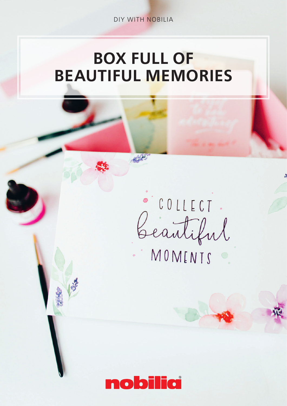DIY WITH NOBILIA

## BOX FULL OF BEAUTIFUL MEMORIES

COLLECT.

COLLECT.<br>Geautiful

MOMENTS O

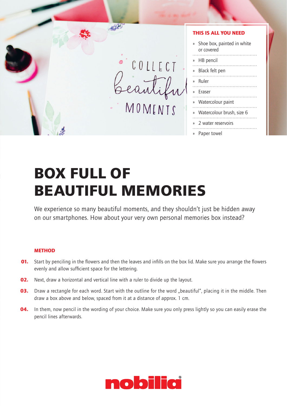

## **BOX FULL OF BEAUTIFUL MEMORIES**

We experience so many beautiful moments, and they shouldn't just be hidden away on our smartphones. How about your very own personal memories box instead?

## **METHOD**

- **01.** Start by penciling in the flowers and then the leaves and infills on the box lid. Make sure you arrange the flowers evenly and allow sufficient space for the lettering.
- **02.** Next, draw a horizontal and vertical line with a ruler to divide up the layout.
- 03. Draw a rectangle for each word. Start with the outline for the word "beautiful", placing it in the middle. Then draw a box above and below, spaced from it at a distance of approx. 1 cm.
- **04.** In them, now pencil in the wording of your choice. Make sure you only press lightly so you can easily erase the pencil lines afterwards.